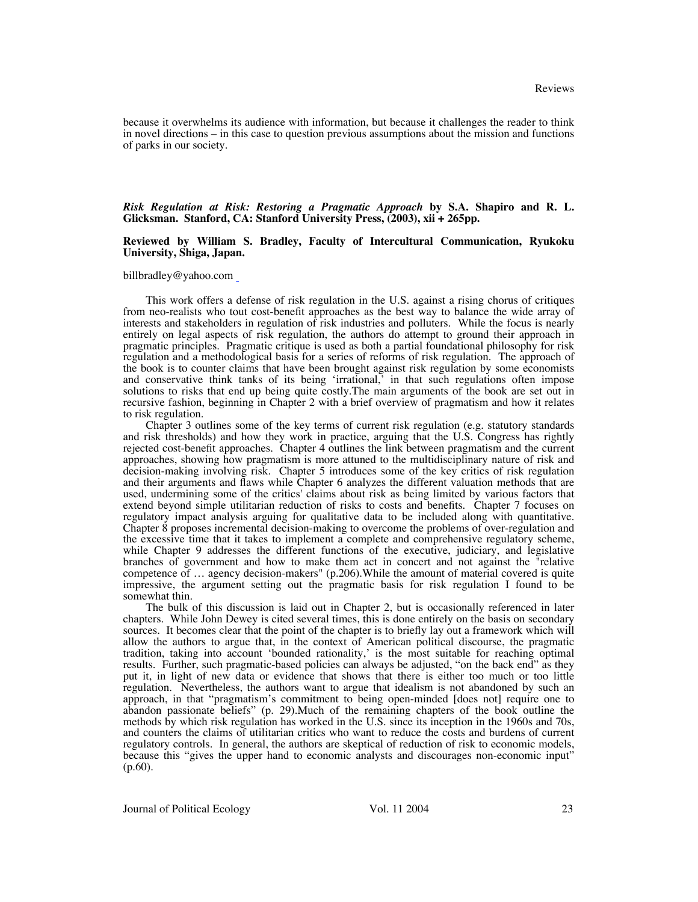because it overwhelms its audience with information, but because it challenges the reader to think in novel directions – in this case to question previous assumptions about the mission and functions of parks in our society.

*Risk Regulation at Risk: Restoring a Pragmatic Approach* **by S.A. Shapiro and R. L. Glicksman. Stanford, CA: Stanford University Press, (2003), xii + 265pp.**

## **Reviewed by William S. Bradley, Faculty of Intercultural Communication, Ryukoku University, Shiga, Japan.**

billbradley@yahoo.com

This work offers a defense of risk regulation in the U.S. against a rising chorus of critiques from neo-realists who tout cost-benefit approaches as the best way to balance the wide array of interests and stakeholders in regulation of risk industries and polluters. While the focus is nearly entirely on legal aspects of risk regulation, the authors do attempt to ground their approach in pragmatic principles. Pragmatic critique is used as both a partial foundational philosophy for risk regulation and a methodological basis for a series of reforms of risk regulation. The approach of the book is to counter claims that have been brought against risk regulation by some economists and conservative think tanks of its being 'irrational,' in that such regulations often impose solutions to risks that end up being quite costly.The main arguments of the book are set out in recursive fashion, beginning in Chapter 2 with a brief overview of pragmatism and how it relates to risk regulation.

Chapter 3 outlines some of the key terms of current risk regulation (e.g. statutory standards and risk thresholds) and how they work in practice, arguing that the U.S. Congress has rightly rejected cost-benefit approaches. Chapter 4 outlines the link between pragmatism and the current approaches, showing how pragmatism is more attuned to the multidisciplinary nature of risk and decision-making involving risk. Chapter 5 introduces some of the key critics of risk regulation and their arguments and flaws while Chapter 6 analyzes the different valuation methods that are used, undermining some of the critics' claims about risk as being limited by various factors that extend beyond simple utilitarian reduction of risks to costs and benefits. Chapter 7 focuses on regulatory impact analysis arguing for qualitative data to be included along with quantitative. Chapter 8 proposes incremental decision-making to overcome the problems of over-regulation and the excessive time that it takes to implement a complete and comprehensive regulatory scheme, while Chapter 9 addresses the different functions of the executive, judiciary, and legislative branches of government and how to make them act in concert and not against the "relative competence of … agency decision-makers" (p.206).While the amount of material covered is quite impressive, the argument setting out the pragmatic basis for risk regulation I found to be somewhat thin.

The bulk of this discussion is laid out in Chapter 2, but is occasionally referenced in later chapters. While John Dewey is cited several times, this is done entirely on the basis on secondary sources. It becomes clear that the point of the chapter is to briefly lay out a framework which will allow the authors to argue that, in the context of American political discourse, the pragmatic tradition, taking into account 'bounded rationality,' is the most suitable for reaching optimal results. Further, such pragmatic-based policies can always be adjusted, "on the back end" as they put it, in light of new data or evidence that shows that there is either too much or too little regulation. Nevertheless, the authors want to argue that idealism is not abandoned by such an approach, in that "pragmatism's commitment to being open-minded [does not] require one to abandon passionate beliefs" (p. 29).Much of the remaining chapters of the book outline the methods by which risk regulation has worked in the U.S. since its inception in the 1960s and 70s, and counters the claims of utilitarian critics who want to reduce the costs and burdens of current regulatory controls. In general, the authors are skeptical of reduction of risk to economic models, because this "gives the upper hand to economic analysts and discourages non-economic input"  $(p.60)$ .

Journal of Political Ecology Vol. 11 2004 23